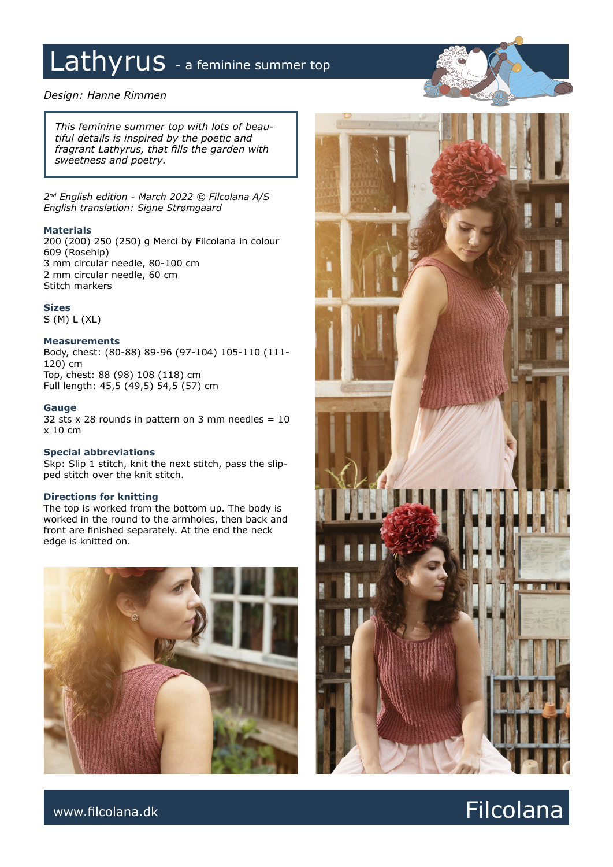# Lathyrus - a feminine summer top

### *Design: Hanne Rimmen*

*This feminine summer top with lots of beautiful details is inspired by the poetic and fragrant Lathyrus, that fills the garden with sweetness and poetry.*

*2nd English edition - March 2022 © Filcolana A/S English translation: Signe Strømgaard*

### **Materials**

200 (200) 250 (250) g Merci by Filcolana in colour 609 (Rosehip) 3 mm circular needle, 80-100 cm 2 mm circular needle, 60 cm Stitch markers

### **Sizes**

S (M) L (XL)

### **Measurements**

Body, chest: (80-88) 89-96 (97-104) 105-110 (111- 120) cm Top, chest: 88 (98) 108 (118) cm Full length: 45,5 (49,5) 54,5 (57) cm

### **Gauge**

32 sts  $\times$  28 rounds in pattern on 3 mm needles = 10 x 10 cm

#### **Special abbreviations**

Skp: Slip 1 stitch, knit the next stitch, pass the slipped stitch over the knit stitch.

### **Directions for knitting**

The top is worked from the bottom up. The body is worked in the round to the armholes, then back and front are finished separately. At the end the neck edge is knitted on.





### www.filcolana.dk **Filcolana.dk** Reserves and the set of the set of the set of the set of the set of the set of the set of the set of the set of the set of the set of the set of the set of the set of the set of the set of t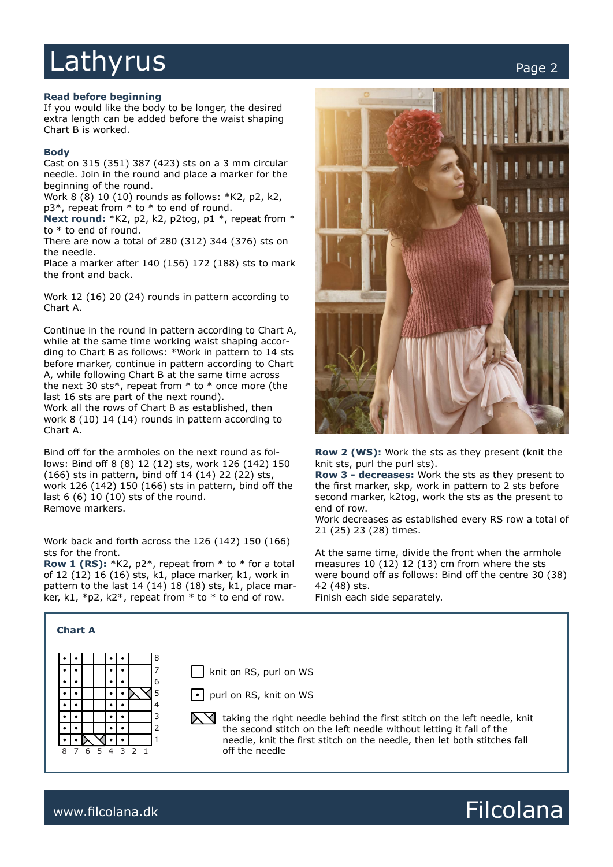## Lathyrus extending the contract of the contract of the contract of the contract of the contract of the contract of the contract of the contract of the contract of the contract of the contract of the contract of the contrac

### **Read before beginning**

If you would like the body to be longer, the desired extra length can be added before the waist shaping Chart B is worked.

### **Body**

Cast on 315 (351) 387 (423) sts on a 3 mm circular needle. Join in the round and place a marker for the beginning of the round.

Work 8 (8) 10 (10) rounds as follows: \*K2, p2, k2, p3\*, repeat from \* to \* to end of round.

**Next round:** \*K2, p2, k2, p2tog, p1 \*, repeat from \* to \* to end of round.

There are now a total of 280 (312) 344 (376) sts on the needle.

Place a marker after 140 (156) 172 (188) sts to mark the front and back.

Work 12 (16) 20 (24) rounds in pattern according to Chart A.

Continue in the round in pattern according to Chart A, while at the same time working waist shaping according to Chart B as follows: \*Work in pattern to 14 sts before marker, continue in pattern according to Chart A, while following Chart B at the same time across the next 30 sts $*$ , repeat from  $*$  to  $*$  once more (the last 16 sts are part of the next round). Work all the rows of Chart B as established, then work 8 (10) 14 (14) rounds in pattern according to Chart A.

Bind off for the armholes on the next round as follows: Bind off 8 (8) 12 (12) sts, work 126 (142) 150 (166) sts in pattern, bind off 14 (14) 22 (22) sts, work 126 (142) 150 (166) sts in pattern, bind off the last 6 (6) 10 (10) sts of the round. Remove markers.

Work back and forth across the 126 (142) 150 (166) sts for the front.

**Row 1 (RS):** \*K2, p2\*, repeat from \* to \* for a total of 12 (12) 16 (16) sts, k1, place marker, k1, work in pattern to the last 14 (14) 18 (18) sts, k1, place marker, k1, \*p2, k2\*, repeat from  $*$  to  $*$  to end of row.



**Row 2 (WS):** Work the sts as they present (knit the knit sts, purl the purl sts).

**Row 3 - decreases:** Work the sts as they present to the first marker, skp, work in pattern to 2 sts before second marker, k2tog, work the sts as the present to end of row.

Work decreases as established every RS row a total of 21 (25) 23 (28) times.

At the same time, divide the front when the armhole measures 10 (12) 12 (13) cm from where the sts were bound off as follows: Bind off the centre 30 (38) 42 (48) sts.

Finish each side separately.



**Chart A**

### www.filcolana.dk **Filcolana.dk** and the state of the state of the state of the state of the state of the state of the state of the state of the state of the state of the state of the state of the state of the state of the